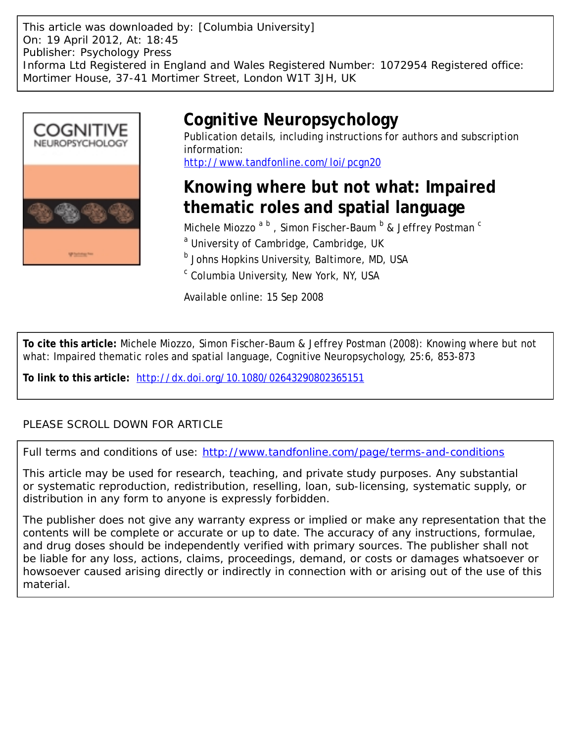This article was downloaded by: [Columbia University] On: 19 April 2012, At: 18:45 Publisher: Psychology Press Informa Ltd Registered in England and Wales Registered Number: 1072954 Registered office: Mortimer House, 37-41 Mortimer Street, London W1T 3JH, UK



# **Cognitive Neuropsychology**

Publication details, including instructions for authors and subscription information:

<http://www.tandfonline.com/loi/pcgn20>

## **Knowing where but not what: Impaired thematic roles and spatial language**

Michele Miozzo <sup>a b</sup> , Simon Fischer-Baum <sup>b</sup> & Jeffrey Postman <sup>c</sup>

<sup>a</sup> University of Cambridge, Cambridge, UK

<sup>b</sup> Johns Hopkins University, Baltimore, MD, USA

<sup>c</sup> Columbia University, New York, NY, USA

Available online: 15 Sep 2008

**To cite this article:** Michele Miozzo, Simon Fischer-Baum & Jeffrey Postman (2008): Knowing where but not what: Impaired thematic roles and spatial language, Cognitive Neuropsychology, 25:6, 853-873

**To link to this article:** <http://dx.doi.org/10.1080/02643290802365151>

## PLEASE SCROLL DOWN FOR ARTICLE

Full terms and conditions of use:<http://www.tandfonline.com/page/terms-and-conditions>

This article may be used for research, teaching, and private study purposes. Any substantial or systematic reproduction, redistribution, reselling, loan, sub-licensing, systematic supply, or distribution in any form to anyone is expressly forbidden.

The publisher does not give any warranty express or implied or make any representation that the contents will be complete or accurate or up to date. The accuracy of any instructions, formulae, and drug doses should be independently verified with primary sources. The publisher shall not be liable for any loss, actions, claims, proceedings, demand, or costs or damages whatsoever or howsoever caused arising directly or indirectly in connection with or arising out of the use of this material.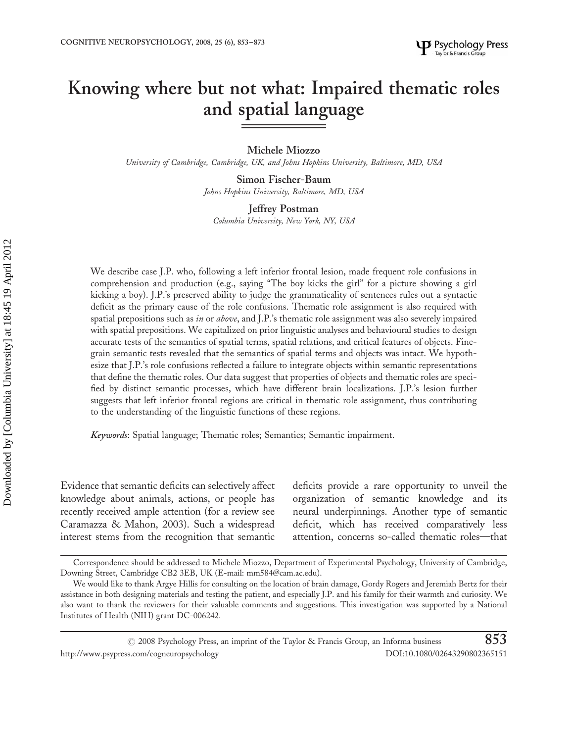## Knowing where but not what: Impaired thematic roles and spatial language

Michele Miozzo

University of Cambridge, Cambridge, UK, and Johns Hopkins University, Baltimore, MD, USA

Simon Fischer-Baum Johns Hopkins University, Baltimore, MD, USA

Jeffrey Postman Columbia University, New York, NY, USA

We describe case J.P. who, following a left inferior frontal lesion, made frequent role confusions in comprehension and production (e.g., saying "The boy kicks the girl" for a picture showing a girl kicking a boy). J.P.'s preserved ability to judge the grammaticality of sentences rules out a syntactic deficit as the primary cause of the role confusions. Thematic role assignment is also required with spatial prepositions such as in or above, and J.P.'s thematic role assignment was also severely impaired with spatial prepositions. We capitalized on prior linguistic analyses and behavioural studies to design accurate tests of the semantics of spatial terms, spatial relations, and critical features of objects. Finegrain semantic tests revealed that the semantics of spatial terms and objects was intact. We hypothesize that J.P.'s role confusions reflected a failure to integrate objects within semantic representations that define the thematic roles. Our data suggest that properties of objects and thematic roles are specified by distinct semantic processes, which have different brain localizations. J.P.'s lesion further suggests that left inferior frontal regions are critical in thematic role assignment, thus contributing to the understanding of the linguistic functions of these regions.

Keywords: Spatial language; Thematic roles; Semantics; Semantic impairment.

Evidence that semantic deficits can selectively affect knowledge about animals, actions, or people has recently received ample attention (for a review see Caramazza & Mahon, 2003). Such a widespread interest stems from the recognition that semantic

deficits provide a rare opportunity to unveil the organization of semantic knowledge and its neural underpinnings. Another type of semantic deficit, which has received comparatively less attention, concerns so-called thematic roles—that

Correspondence should be addressed to Michele Miozzo, Department of Experimental Psychology, University of Cambridge, Downing Street, Cambridge CB2 3EB, UK (E-mail: mm584@cam.ac.edu).

We would like to thank Argye Hillis for consulting on the location of brain damage, Gordy Rogers and Jeremiah Bertz for their assistance in both designing materials and testing the patient, and especially J.P. and his family for their warmth and curiosity. We also want to thank the reviewers for their valuable comments and suggestions. This investigation was supported by a National Institutes of Health (NIH) grant DC-006242.

*<sup>#</sup>* 2008 Psychology Press, an imprint of the Taylor & Francis Group, an Informa business 853 http://www.psypress.com/cogneuropsychology DOI:10.1080/02643290802365151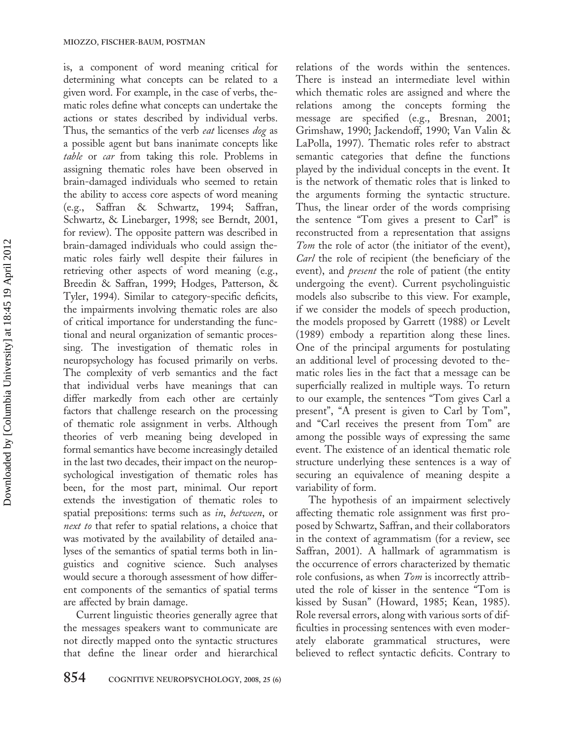MIOZZO, FISCHER-BAUM, POSTMAN

is, a component of word meaning critical for determining what concepts can be related to a given word. For example, in the case of verbs, thematic roles define what concepts can undertake the actions or states described by individual verbs. Thus, the semantics of the verb eat licenses dog as a possible agent but bans inanimate concepts like table or car from taking this role. Problems in assigning thematic roles have been observed in brain-damaged individuals who seemed to retain the ability to access core aspects of word meaning (e.g., Saffran & Schwartz, 1994; Saffran, Schwartz, & Linebarger, 1998; see Berndt, 2001, for review). The opposite pattern was described in brain-damaged individuals who could assign thematic roles fairly well despite their failures in retrieving other aspects of word meaning (e.g., Breedin & Saffran, 1999; Hodges, Patterson, & Tyler, 1994). Similar to category-specific deficits, the impairments involving thematic roles are also of critical importance for understanding the functional and neural organization of semantic processing. The investigation of thematic roles in neuropsychology has focused primarily on verbs. The complexity of verb semantics and the fact that individual verbs have meanings that can differ markedly from each other are certainly factors that challenge research on the processing of thematic role assignment in verbs. Although theories of verb meaning being developed in formal semantics have become increasingly detailed in the last two decades, their impact on the neuropsychological investigation of thematic roles has been, for the most part, minimal. Our report extends the investigation of thematic roles to spatial prepositions: terms such as in, between, or next to that refer to spatial relations, a choice that was motivated by the availability of detailed analyses of the semantics of spatial terms both in linguistics and cognitive science. Such analyses would secure a thorough assessment of how different components of the semantics of spatial terms are affected by brain damage.

Current linguistic theories generally agree that the messages speakers want to communicate are not directly mapped onto the syntactic structures that define the linear order and hierarchical

relations of the words within the sentences. There is instead an intermediate level within which thematic roles are assigned and where the relations among the concepts forming the message are specified (e.g., Bresnan, 2001; Grimshaw, 1990; Jackendoff, 1990; Van Valin & LaPolla, 1997). Thematic roles refer to abstract semantic categories that define the functions played by the individual concepts in the event. It is the network of thematic roles that is linked to the arguments forming the syntactic structure. Thus, the linear order of the words comprising the sentence "Tom gives a present to Carl" is reconstructed from a representation that assigns Tom the role of actor (the initiator of the event), Carl the role of recipient (the beneficiary of the event), and *present* the role of patient (the entity undergoing the event). Current psycholinguistic models also subscribe to this view. For example, if we consider the models of speech production, the models proposed by Garrett (1988) or Levelt (1989) embody a repartition along these lines. One of the principal arguments for postulating an additional level of processing devoted to thematic roles lies in the fact that a message can be superficially realized in multiple ways. To return to our example, the sentences "Tom gives Carl a present", "A present is given to Carl by Tom", and "Carl receives the present from Tom" are among the possible ways of expressing the same event. The existence of an identical thematic role structure underlying these sentences is a way of securing an equivalence of meaning despite a variability of form.

The hypothesis of an impairment selectively affecting thematic role assignment was first proposed by Schwartz, Saffran, and their collaborators in the context of agrammatism (for a review, see Saffran, 2001). A hallmark of agrammatism is the occurrence of errors characterized by thematic role confusions, as when Tom is incorrectly attributed the role of kisser in the sentence "Tom is kissed by Susan" (Howard, 1985; Kean, 1985). Role reversal errors, along with various sorts of difficulties in processing sentences with even moderately elaborate grammatical structures, were believed to reflect syntactic deficits. Contrary to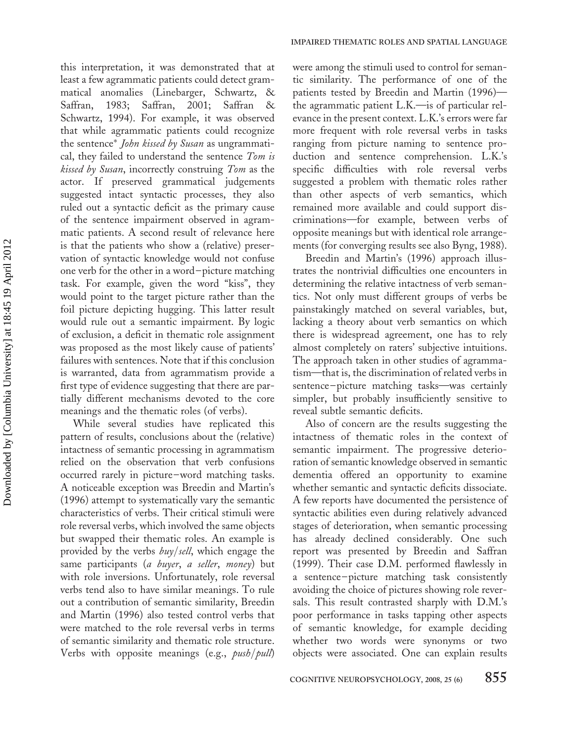this interpretation, it was demonstrated that at least a few agrammatic patients could detect grammatical anomalies (Linebarger, Schwartz, & Saffran, 1983; Saffran, 2001; Saffran & Schwartz, 1994). For example, it was observed that while agrammatic patients could recognize the sentence<sup>\*</sup> John kissed by Susan as ungrammatical, they failed to understand the sentence Tom is kissed by Susan, incorrectly construing Tom as the actor. If preserved grammatical judgements suggested intact syntactic processes, they also ruled out a syntactic deficit as the primary cause of the sentence impairment observed in agrammatic patients. A second result of relevance here is that the patients who show a (relative) preservation of syntactic knowledge would not confuse one verb for the other in a word–picture matching task. For example, given the word "kiss", they would point to the target picture rather than the foil picture depicting hugging. This latter result would rule out a semantic impairment. By logic of exclusion, a deficit in thematic role assignment was proposed as the most likely cause of patients' failures with sentences. Note that if this conclusion is warranted, data from agrammatism provide a first type of evidence suggesting that there are partially different mechanisms devoted to the core meanings and the thematic roles (of verbs).

While several studies have replicated this pattern of results, conclusions about the (relative) intactness of semantic processing in agrammatism relied on the observation that verb confusions occurred rarely in picture–word matching tasks. A noticeable exception was Breedin and Martin's (1996) attempt to systematically vary the semantic characteristics of verbs. Their critical stimuli were role reversal verbs, which involved the same objects but swapped their thematic roles. An example is provided by the verbs buy/sell, which engage the same participants (a buyer, a seller, money) but with role inversions. Unfortunately, role reversal verbs tend also to have similar meanings. To rule out a contribution of semantic similarity, Breedin and Martin (1996) also tested control verbs that were matched to the role reversal verbs in terms of semantic similarity and thematic role structure. Verbs with opposite meanings (e.g., push/pull)

were among the stimuli used to control for semantic similarity. The performance of one of the patients tested by Breedin and Martin (1996) the agrammatic patient L.K.—is of particular relevance in the present context. L.K.'s errors were far more frequent with role reversal verbs in tasks ranging from picture naming to sentence production and sentence comprehension. L.K.'s specific difficulties with role reversal verbs suggested a problem with thematic roles rather than other aspects of verb semantics, which remained more available and could support discriminations—for example, between verbs of opposite meanings but with identical role arrangements (for converging results see also Byng, 1988).

Breedin and Martin's (1996) approach illustrates the nontrivial difficulties one encounters in determining the relative intactness of verb semantics. Not only must different groups of verbs be painstakingly matched on several variables, but, lacking a theory about verb semantics on which there is widespread agreement, one has to rely almost completely on raters' subjective intuitions. The approach taken in other studies of agrammatism—that is, the discrimination of related verbs in sentence–picture matching tasks—was certainly simpler, but probably insufficiently sensitive to reveal subtle semantic deficits.

Also of concern are the results suggesting the intactness of thematic roles in the context of semantic impairment. The progressive deterioration of semantic knowledge observed in semantic dementia offered an opportunity to examine whether semantic and syntactic deficits dissociate. A few reports have documented the persistence of syntactic abilities even during relatively advanced stages of deterioration, when semantic processing has already declined considerably. One such report was presented by Breedin and Saffran (1999). Their case D.M. performed flawlessly in a sentence–picture matching task consistently avoiding the choice of pictures showing role reversals. This result contrasted sharply with D.M.'s poor performance in tasks tapping other aspects of semantic knowledge, for example deciding whether two words were synonyms or two objects were associated. One can explain results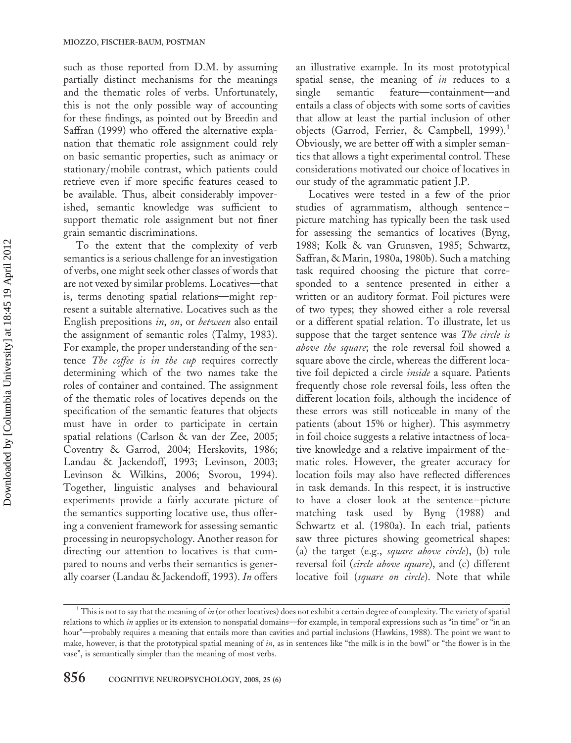such as those reported from D.M. by assuming partially distinct mechanisms for the meanings and the thematic roles of verbs. Unfortunately, this is not the only possible way of accounting for these findings, as pointed out by Breedin and Saffran (1999) who offered the alternative explanation that thematic role assignment could rely on basic semantic properties, such as animacy or stationary/mobile contrast, which patients could retrieve even if more specific features ceased to be available. Thus, albeit considerably impoverished, semantic knowledge was sufficient to support thematic role assignment but not finer grain semantic discriminations.

To the extent that the complexity of verb semantics is a serious challenge for an investigation of verbs, one might seek other classes of words that are not vexed by similar problems. Locatives—that is, terms denoting spatial relations—might represent a suitable alternative. Locatives such as the English prepositions in, on, or between also entail the assignment of semantic roles (Talmy, 1983). For example, the proper understanding of the sentence The coffee is in the cup requires correctly determining which of the two names take the roles of container and contained. The assignment of the thematic roles of locatives depends on the specification of the semantic features that objects must have in order to participate in certain spatial relations (Carlson & van der Zee, 2005; Coventry & Garrod, 2004; Herskovits, 1986; Landau & Jackendoff, 1993; Levinson, 2003; Levinson & Wilkins, 2006; Svorou, 1994). Together, linguistic analyses and behavioural experiments provide a fairly accurate picture of the semantics supporting locative use, thus offering a convenient framework for assessing semantic processing in neuropsychology. Another reason for directing our attention to locatives is that compared to nouns and verbs their semantics is generally coarser (Landau & Jackendoff, 1993). In offers

an illustrative example. In its most prototypical spatial sense, the meaning of in reduces to a single semantic feature—containment—and entails a class of objects with some sorts of cavities that allow at least the partial inclusion of other objects (Garrod, Ferrier, & Campbell, 1999).<sup>1</sup> Obviously, we are better off with a simpler semantics that allows a tight experimental control. These considerations motivated our choice of locatives in our study of the agrammatic patient J.P.

Locatives were tested in a few of the prior studies of agrammatism, although sentence– picture matching has typically been the task used for assessing the semantics of locatives (Byng, 1988; Kolk & van Grunsven, 1985; Schwartz, Saffran, & Marin, 1980a, 1980b). Such a matching task required choosing the picture that corresponded to a sentence presented in either a written or an auditory format. Foil pictures were of two types; they showed either a role reversal or a different spatial relation. To illustrate, let us suppose that the target sentence was The circle is above the square; the role reversal foil showed a square above the circle, whereas the different locative foil depicted a circle *inside* a square. Patients frequently chose role reversal foils, less often the different location foils, although the incidence of these errors was still noticeable in many of the patients (about 15% or higher). This asymmetry in foil choice suggests a relative intactness of locative knowledge and a relative impairment of thematic roles. However, the greater accuracy for location foils may also have reflected differences in task demands. In this respect, it is instructive to have a closer look at the sentence–picture matching task used by Byng (1988) and Schwartz et al. (1980a). In each trial, patients saw three pictures showing geometrical shapes: (a) the target (e.g., square above circle), (b) role reversal foil (circle above square), and (c) different locative foil (square on circle). Note that while

 $1$  This is not to say that the meaning of in (or other locatives) does not exhibit a certain degree of complexity. The variety of spatial relations to which in applies or its extension to nonspatial domains—for example, in temporal expressions such as "in time" or "in an hour"—probably requires a meaning that entails more than cavities and partial inclusions (Hawkins, 1988). The point we want to make, however, is that the prototypical spatial meaning of  $in$ , as in sentences like "the milk is in the bowl" or "the flower is in the vase", is semantically simpler than the meaning of most verbs.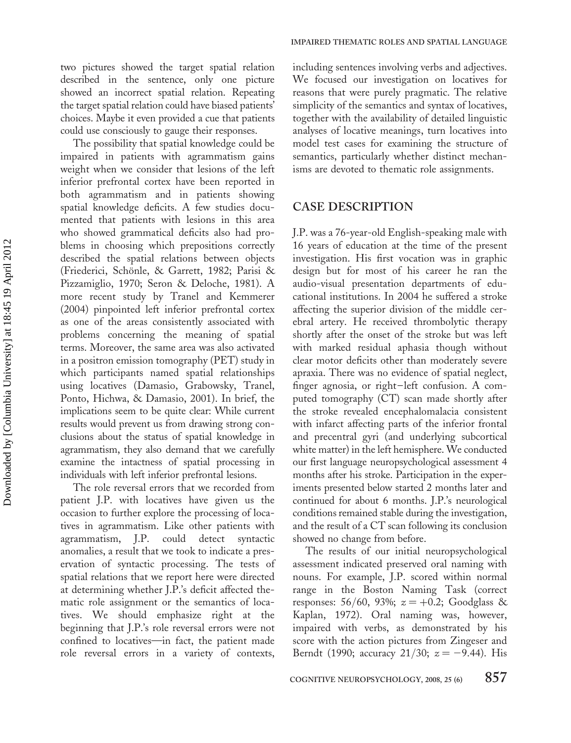two pictures showed the target spatial relation described in the sentence, only one picture showed an incorrect spatial relation. Repeating the target spatial relation could have biased patients' choices. Maybe it even provided a cue that patients could use consciously to gauge their responses.

The possibility that spatial knowledge could be impaired in patients with agrammatism gains weight when we consider that lesions of the left inferior prefrontal cortex have been reported in both agrammatism and in patients showing spatial knowledge deficits. A few studies documented that patients with lesions in this area who showed grammatical deficits also had problems in choosing which prepositions correctly described the spatial relations between objects (Friederici, Schönle, & Garrett, 1982; Parisi & Pizzamiglio, 1970; Seron & Deloche, 1981). A more recent study by Tranel and Kemmerer (2004) pinpointed left inferior prefrontal cortex as one of the areas consistently associated with problems concerning the meaning of spatial terms. Moreover, the same area was also activated in a positron emission tomography (PET) study in which participants named spatial relationships using locatives (Damasio, Grabowsky, Tranel, Ponto, Hichwa, & Damasio, 2001). In brief, the implications seem to be quite clear: While current results would prevent us from drawing strong conclusions about the status of spatial knowledge in agrammatism, they also demand that we carefully examine the intactness of spatial processing in individuals with left inferior prefrontal lesions.

The role reversal errors that we recorded from patient J.P. with locatives have given us the occasion to further explore the processing of locatives in agrammatism. Like other patients with agrammatism, J.P. could detect syntactic anomalies, a result that we took to indicate a preservation of syntactic processing. The tests of spatial relations that we report here were directed at determining whether J.P.'s deficit affected thematic role assignment or the semantics of locatives. We should emphasize right at the beginning that J.P.'s role reversal errors were not confined to locatives—in fact, the patient made role reversal errors in a variety of contexts,

including sentences involving verbs and adjectives. We focused our investigation on locatives for reasons that were purely pragmatic. The relative simplicity of the semantics and syntax of locatives, together with the availability of detailed linguistic analyses of locative meanings, turn locatives into model test cases for examining the structure of semantics, particularly whether distinct mechanisms are devoted to thematic role assignments.

## CASE DESCRIPTION

J.P. was a 76-year-old English-speaking male with 16 years of education at the time of the present investigation. His first vocation was in graphic design but for most of his career he ran the audio-visual presentation departments of educational institutions. In 2004 he suffered a stroke affecting the superior division of the middle cerebral artery. He received thrombolytic therapy shortly after the onset of the stroke but was left with marked residual aphasia though without clear motor deficits other than moderately severe apraxia. There was no evidence of spatial neglect, finger agnosia, or right–left confusion. A computed tomography (CT) scan made shortly after the stroke revealed encephalomalacia consistent with infarct affecting parts of the inferior frontal and precentral gyri (and underlying subcortical white matter) in the left hemisphere. We conducted our first language neuropsychological assessment 4 months after his stroke. Participation in the experiments presented below started 2 months later and continued for about 6 months. J.P.'s neurological conditions remained stable during the investigation, and the result of a CT scan following its conclusion showed no change from before.

The results of our initial neuropsychological assessment indicated preserved oral naming with nouns. For example, J.P. scored within normal range in the Boston Naming Task (correct responses: 56/60, 93%;  $z = +0.2$ ; Goodglass & Kaplan, 1972). Oral naming was, however, impaired with verbs, as demonstrated by his score with the action pictures from Zingeser and Berndt (1990; accuracy 21/30;  $z = -9.44$ ). His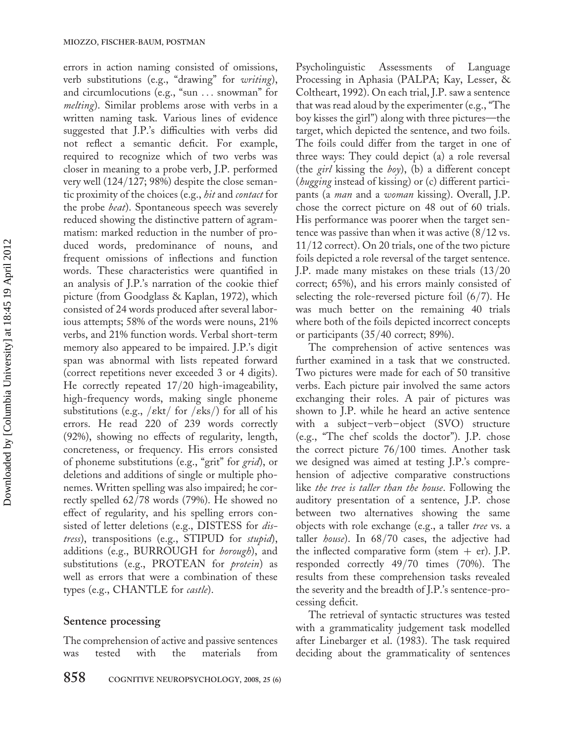errors in action naming consisted of omissions, verb substitutions (e.g., "drawing" for writing), and circumlocutions (e.g., "sun ... snowman" for melting). Similar problems arose with verbs in a written naming task. Various lines of evidence suggested that J.P.'s difficulties with verbs did not reflect a semantic deficit. For example, required to recognize which of two verbs was closer in meaning to a probe verb, J.P. performed very well (124/127; 98%) despite the close semantic proximity of the choices (e.g., hit and contact for the probe *beat*). Spontaneous speech was severely reduced showing the distinctive pattern of agrammatism: marked reduction in the number of produced words, predominance of nouns, and frequent omissions of inflections and function words. These characteristics were quantified in an analysis of J.P.'s narration of the cookie thief picture (from Goodglass & Kaplan, 1972), which consisted of 24 words produced after several laborious attempts; 58% of the words were nouns, 21% verbs, and 21% function words. Verbal short-term memory also appeared to be impaired. J.P.'s digit span was abnormal with lists repeated forward (correct repetitions never exceeded 3 or 4 digits). He correctly repeated 17/20 high-imageability, high-frequency words, making single phoneme substitutions (e.g., / $\epsilon$ kt/ for / $\epsilon$ ks/) for all of his errors. He read 220 of 239 words correctly (92%), showing no effects of regularity, length, concreteness, or frequency. His errors consisted of phoneme substitutions (e.g., "grit" for grid), or deletions and additions of single or multiple phonemes. Written spelling was also impaired; he correctly spelled 62/78 words (79%). He showed no effect of regularity, and his spelling errors consisted of letter deletions (e.g., DISTESS for *dis*tress), transpositions (e.g., STIPUD for stupid), additions (e.g., BURROUGH for borough), and substitutions (e.g., PROTEAN for protein) as well as errors that were a combination of these types (e.g., CHANTLE for *castle*).

## Sentence processing

The comprehension of active and passive sentences was tested with the materials from

Psycholinguistic Assessments of Language Processing in Aphasia (PALPA; Kay, Lesser, & Coltheart, 1992). On each trial, J.P. saw a sentence that was read aloud by the experimenter (e.g., "The boy kisses the girl") along with three pictures—the target, which depicted the sentence, and two foils. The foils could differ from the target in one of three ways: They could depict (a) a role reversal (the  $\chi$ *irl* kissing the *boy*), (b) a different concept (hugging instead of kissing) or (c) different participants (a man and a woman kissing). Overall, J.P. chose the correct picture on 48 out of 60 trials. His performance was poorer when the target sentence was passive than when it was active (8/12 vs. 11/12 correct). On 20 trials, one of the two picture foils depicted a role reversal of the target sentence. J.P. made many mistakes on these trials (13/20 correct; 65%), and his errors mainly consisted of selecting the role-reversed picture foil  $(6/7)$ . He was much better on the remaining 40 trials where both of the foils depicted incorrect concepts or participants (35/40 correct; 89%).

The comprehension of active sentences was further examined in a task that we constructed. Two pictures were made for each of 50 transitive verbs. Each picture pair involved the same actors exchanging their roles. A pair of pictures was shown to J.P. while he heard an active sentence with a subject–verb–object (SVO) structure (e.g., "The chef scolds the doctor"). J.P. chose the correct picture 76/100 times. Another task we designed was aimed at testing J.P.'s comprehension of adjective comparative constructions like *the tree is taller than the house*. Following the auditory presentation of a sentence, J.P. chose between two alternatives showing the same objects with role exchange (e.g., a taller *tree* vs. a taller house). In 68/70 cases, the adjective had the inflected comparative form (stem  $+$  er). J.P. responded correctly 49/70 times (70%). The results from these comprehension tasks revealed the severity and the breadth of J.P.'s sentence-processing deficit.

The retrieval of syntactic structures was tested with a grammaticality judgement task modelled after Linebarger et al. (1983). The task required deciding about the grammaticality of sentences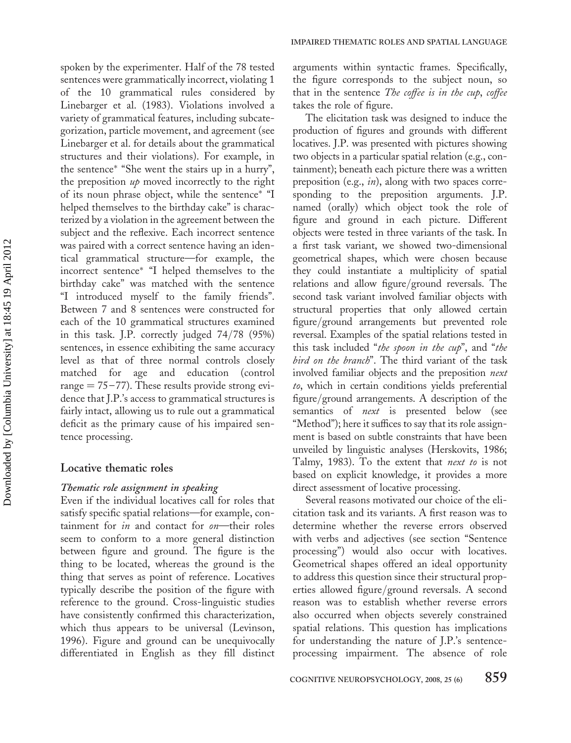spoken by the experimenter. Half of the 78 tested sentences were grammatically incorrect, violating 1 of the 10 grammatical rules considered by Linebarger et al. (1983). Violations involved a variety of grammatical features, including subcategorization, particle movement, and agreement (see Linebarger et al. for details about the grammatical structures and their violations). For example, in the sentence<sup>\*</sup> "She went the stairs up in a hurry", the preposition  $u\phi$  moved incorrectly to the right of its noun phrase object, while the sentence\* "I helped themselves to the birthday cake" is characterized by a violation in the agreement between the subject and the reflexive. Each incorrect sentence was paired with a correct sentence having an identical grammatical structure—for example, the incorrect sentence<sup>\*</sup> "I helped themselves to the birthday cake" was matched with the sentence "I introduced myself to the family friends". Between 7 and 8 sentences were constructed for each of the 10 grammatical structures examined in this task. J.P. correctly judged 74/78 (95%) sentences, in essence exhibiting the same accuracy level as that of three normal controls closely matched for age and education (control

range  $= 75-77$ ). These results provide strong evidence that J.P.'s access to grammatical structures is fairly intact, allowing us to rule out a grammatical deficit as the primary cause of his impaired sentence processing.

## Locative thematic roles

## Thematic role assignment in speaking

Even if the individual locatives call for roles that satisfy specific spatial relations—for example, containment for *in* and contact for  $\omega n$ —their roles seem to conform to a more general distinction between figure and ground. The figure is the thing to be located, whereas the ground is the thing that serves as point of reference. Locatives typically describe the position of the figure with reference to the ground. Cross-linguistic studies have consistently confirmed this characterization, which thus appears to be universal (Levinson, 1996). Figure and ground can be unequivocally differentiated in English as they fill distinct

arguments within syntactic frames. Specifically, the figure corresponds to the subject noun, so that in the sentence The coffee is in the cup, coffee takes the role of figure.

The elicitation task was designed to induce the production of figures and grounds with different locatives. J.P. was presented with pictures showing two objects in a particular spatial relation (e.g., containment); beneath each picture there was a written preposition (e.g., *in*), along with two spaces corresponding to the preposition arguments. J.P. named (orally) which object took the role of figure and ground in each picture. Different objects were tested in three variants of the task. In a first task variant, we showed two-dimensional geometrical shapes, which were chosen because they could instantiate a multiplicity of spatial relations and allow figure/ground reversals. The second task variant involved familiar objects with structural properties that only allowed certain figure/ground arrangements but prevented role reversal. Examples of the spatial relations tested in this task included "the spoon in the cup", and "the bird on the branch". The third variant of the task involved familiar objects and the preposition next to, which in certain conditions yields preferential figure/ground arrangements. A description of the semantics of *next* is presented below (see "Method"); here it suffices to say that its role assignment is based on subtle constraints that have been unveiled by linguistic analyses (Herskovits, 1986; Talmy, 1983). To the extent that *next to* is not based on explicit knowledge, it provides a more direct assessment of locative processing.

Several reasons motivated our choice of the elicitation task and its variants. A first reason was to determine whether the reverse errors observed with verbs and adjectives (see section "Sentence processing") would also occur with locatives. Geometrical shapes offered an ideal opportunity to address this question since their structural properties allowed figure/ground reversals. A second reason was to establish whether reverse errors also occurred when objects severely constrained spatial relations. This question has implications for understanding the nature of J.P.'s sentenceprocessing impairment. The absence of role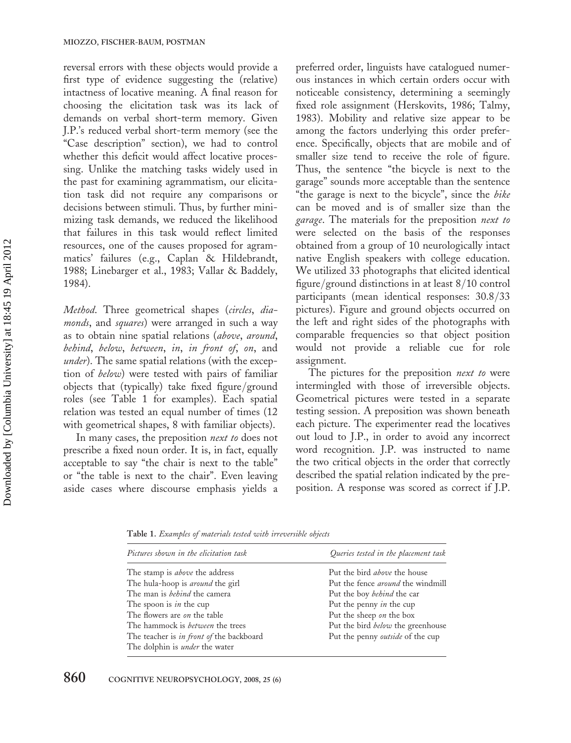reversal errors with these objects would provide a first type of evidence suggesting the (relative) intactness of locative meaning. A final reason for choosing the elicitation task was its lack of demands on verbal short-term memory. Given J.P.'s reduced verbal short-term memory (see the "Case description" section), we had to control whether this deficit would affect locative processing. Unlike the matching tasks widely used in the past for examining agrammatism, our elicitation task did not require any comparisons or decisions between stimuli. Thus, by further minimizing task demands, we reduced the likelihood that failures in this task would reflect limited resources, one of the causes proposed for agrammatics' failures (e.g., Caplan & Hildebrandt, 1988; Linebarger et al., 1983; Vallar & Baddely, 1984).

Method. Three geometrical shapes (circles, diamonds, and squares) were arranged in such a way as to obtain nine spatial relations (above, around, behind, below, between, in, in front of, on, and under). The same spatial relations (with the exception of below) were tested with pairs of familiar objects that (typically) take fixed figure/ground roles (see Table 1 for examples). Each spatial relation was tested an equal number of times (12 with geometrical shapes, 8 with familiar objects).

In many cases, the preposition *next to* does not prescribe a fixed noun order. It is, in fact, equally acceptable to say "the chair is next to the table" or "the table is next to the chair". Even leaving aside cases where discourse emphasis yields a

preferred order, linguists have catalogued numerous instances in which certain orders occur with noticeable consistency, determining a seemingly fixed role assignment (Herskovits, 1986; Talmy, 1983). Mobility and relative size appear to be among the factors underlying this order preference. Specifically, objects that are mobile and of smaller size tend to receive the role of figure. Thus, the sentence "the bicycle is next to the garage" sounds more acceptable than the sentence "the garage is next to the bicycle", since the bike can be moved and is of smaller size than the garage. The materials for the preposition next to were selected on the basis of the responses obtained from a group of 10 neurologically intact native English speakers with college education. We utilized 33 photographs that elicited identical figure/ground distinctions in at least 8/10 control participants (mean identical responses: 30.8/33 pictures). Figure and ground objects occurred on the left and right sides of the photographs with comparable frequencies so that object position would not provide a reliable cue for role assignment.

The pictures for the preposition *next to* were intermingled with those of irreversible objects. Geometrical pictures were tested in a separate testing session. A preposition was shown beneath each picture. The experimenter read the locatives out loud to J.P., in order to avoid any incorrect word recognition. J.P. was instructed to name the two critical objects in the order that correctly described the spatial relation indicated by the preposition. A response was scored as correct if J.P.

Table 1. Examples of materials tested with irreversible objects

| Pictures shown in the elicitation task   | Queries tested in the placement task     |  |  |
|------------------------------------------|------------------------------------------|--|--|
| The stamp is <i>above</i> the address    | Put the bird <i>above</i> the house      |  |  |
| The hula-hoop is around the girl         | Put the fence <i>around</i> the windmill |  |  |
| The man is <i>behind</i> the camera      | Put the boy <i>behind</i> the car        |  |  |
| The spoon is <i>in</i> the cup           | Put the penny <i>in</i> the cup          |  |  |
| The flowers are <i>on</i> the table      | Put the sheep <i>on</i> the box          |  |  |
| The hammock is <i>between</i> the trees  | Put the bird <i>below</i> the greenhouse |  |  |
| The teacher is in front of the backboard | Put the penny <i>outside</i> of the cup  |  |  |
| The dolphin is <i>under</i> the water    |                                          |  |  |
|                                          |                                          |  |  |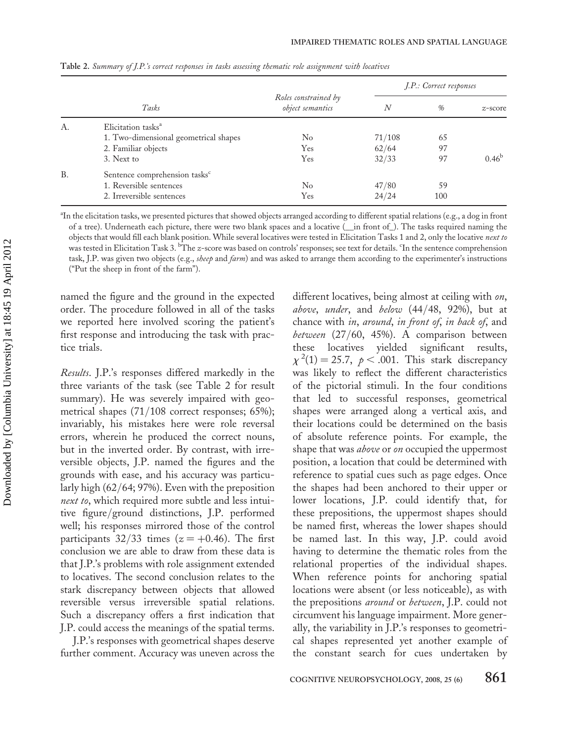|           | Tasks                                     | Roles constrained by<br>object semantics | J.P.: Correct responses |      |                |
|-----------|-------------------------------------------|------------------------------------------|-------------------------|------|----------------|
|           |                                           |                                          | N                       | $\%$ | z-score        |
| А.        | Elicitation tasks <sup>a</sup>            |                                          |                         |      |                |
|           | 1. Two-dimensional geometrical shapes     | No                                       | 71/108                  | 65   |                |
|           | 2. Familiar objects                       | Yes                                      | 62/64                   | 97   |                |
|           | 3. Next to                                | Yes                                      | 32/33                   | 97   | $0.46^{\rm b}$ |
| <b>B.</b> | Sentence comprehension tasks <sup>c</sup> |                                          |                         |      |                |
|           | 1. Reversible sentences                   | $\rm No$                                 | 47/80                   | 59   |                |
|           | 2. Irreversible sentences                 | Yes                                      | 24/24                   | 100  |                |

Table 2. Summary of J.P.'s correct responses in tasks assessing thematic role assignment with locatives

a In the elicitation tasks, we presented pictures that showed objects arranged according to different spatial relations (e.g., a dog in front of a tree). Underneath each picture, there were two blank spaces and a locative (\_\_in front of\_). The tasks required naming the objects that would fill each blank position. While several locatives were tested in Elicitation Tasks 1 and 2, only the locative next to was tested in Elicitation Task 3. <sup>b</sup>The z-score was based on controls' responses; see text for details. <sup>c</sup>In the sentence comprehension task, J.P. was given two objects (e.g., *sheep* and farm) and was asked to arrange them according to the experimenter's instructions ("Put the sheep in front of the farm").

named the figure and the ground in the expected order. The procedure followed in all of the tasks we reported here involved scoring the patient's first response and introducing the task with practice trials.

Results. J.P.'s responses differed markedly in the three variants of the task (see Table 2 for result summary). He was severely impaired with geometrical shapes (71/108 correct responses; 65%); invariably, his mistakes here were role reversal errors, wherein he produced the correct nouns, but in the inverted order. By contrast, with irreversible objects, J.P. named the figures and the grounds with ease, and his accuracy was particularly high (62/64; 97%). Even with the preposition next to, which required more subtle and less intuitive figure/ground distinctions, J.P. performed well; his responses mirrored those of the control participants 32/33 times ( $z = +0.46$ ). The first conclusion we are able to draw from these data is that J.P.'s problems with role assignment extended to locatives. The second conclusion relates to the stark discrepancy between objects that allowed reversible versus irreversible spatial relations. Such a discrepancy offers a first indication that J.P. could access the meanings of the spatial terms.

J.P.'s responses with geometrical shapes deserve further comment. Accuracy was uneven across the different locatives, being almost at ceiling with *on*, above, under, and below  $(44/48, 92\%)$ , but at chance with in, around, in front of, in back of, and between (27/60, 45%). A comparison between these locatives yielded significant results,  $\chi^2(1) = 25.7, \ \rho < .001.$  This stark discrepancy was likely to reflect the different characteristics of the pictorial stimuli. In the four conditions that led to successful responses, geometrical shapes were arranged along a vertical axis, and their locations could be determined on the basis of absolute reference points. For example, the shape that was *above* or *on* occupied the uppermost position, a location that could be determined with reference to spatial cues such as page edges. Once the shapes had been anchored to their upper or lower locations, J.P. could identify that, for these prepositions, the uppermost shapes should be named first, whereas the lower shapes should be named last. In this way, J.P. could avoid having to determine the thematic roles from the relational properties of the individual shapes. When reference points for anchoring spatial locations were absent (or less noticeable), as with the prepositions *around* or *between*, J.P. could not circumvent his language impairment. More generally, the variability in J.P.'s responses to geometrical shapes represented yet another example of the constant search for cues undertaken by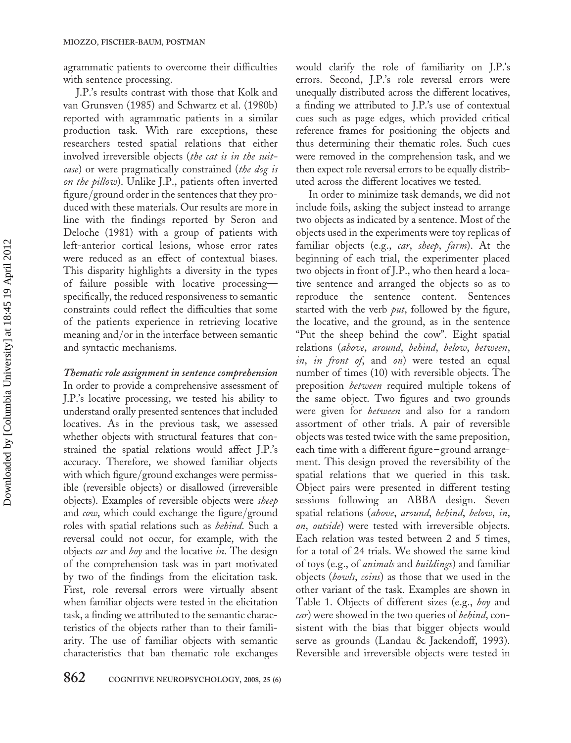agrammatic patients to overcome their difficulties with sentence processing.

J.P.'s results contrast with those that Kolk and van Grunsven (1985) and Schwartz et al. (1980b) reported with agrammatic patients in a similar production task. With rare exceptions, these researchers tested spatial relations that either involved irreversible objects (the cat is in the suitcase) or were pragmatically constrained (the dog is on the pillow). Unlike J.P., patients often inverted figure/ground order in the sentences that they produced with these materials. Our results are more in line with the findings reported by Seron and Deloche (1981) with a group of patients with left-anterior cortical lesions, whose error rates were reduced as an effect of contextual biases. This disparity highlights a diversity in the types of failure possible with locative processing specifically, the reduced responsiveness to semantic constraints could reflect the difficulties that some of the patients experience in retrieving locative meaning and/or in the interface between semantic and syntactic mechanisms.

## Thematic role assignment in sentence comprehension In order to provide a comprehensive assessment of J.P.'s locative processing, we tested his ability to understand orally presented sentences that included locatives. As in the previous task, we assessed whether objects with structural features that constrained the spatial relations would affect J.P.'s accuracy. Therefore, we showed familiar objects with which figure/ground exchanges were permissible (reversible objects) or disallowed (irreversible objects). Examples of reversible objects were sheep and cow, which could exchange the figure/ground roles with spatial relations such as *behind*. Such a reversal could not occur, for example, with the objects car and boy and the locative in. The design of the comprehension task was in part motivated by two of the findings from the elicitation task. First, role reversal errors were virtually absent when familiar objects were tested in the elicitation task, a finding we attributed to the semantic characteristics of the objects rather than to their familiarity. The use of familiar objects with semantic characteristics that ban thematic role exchanges

would clarify the role of familiarity on J.P.'s errors. Second, J.P.'s role reversal errors were unequally distributed across the different locatives, a finding we attributed to J.P.'s use of contextual cues such as page edges, which provided critical reference frames for positioning the objects and thus determining their thematic roles. Such cues were removed in the comprehension task, and we then expect role reversal errors to be equally distributed across the different locatives we tested.

In order to minimize task demands, we did not include foils, asking the subject instead to arrange two objects as indicated by a sentence. Most of the objects used in the experiments were toy replicas of familiar objects (e.g., *car*, *sheep*, *farm*). At the beginning of each trial, the experimenter placed two objects in front of J.P., who then heard a locative sentence and arranged the objects so as to reproduce the sentence content. Sentences started with the verb  $put$ , followed by the figure, the locative, and the ground, as in the sentence "Put the sheep behind the cow". Eight spatial relations (above, around, behind, below, between, in, in front of, and on) were tested an equal number of times (10) with reversible objects. The preposition *between* required multiple tokens of the same object. Two figures and two grounds were given for *between* and also for a random assortment of other trials. A pair of reversible objects was tested twice with the same preposition, each time with a different figure–ground arrangement. This design proved the reversibility of the spatial relations that we queried in this task. Object pairs were presented in different testing sessions following an ABBA design. Seven spatial relations (above, around, behind, below, in, on, outside) were tested with irreversible objects. Each relation was tested between 2 and 5 times, for a total of 24 trials. We showed the same kind of toys (e.g., of animals and buildings) and familiar objects (bowls, coins) as those that we used in the other variant of the task. Examples are shown in Table 1. Objects of different sizes (e.g., boy and car) were showed in the two queries of behind, consistent with the bias that bigger objects would serve as grounds (Landau & Jackendoff, 1993). Reversible and irreversible objects were tested in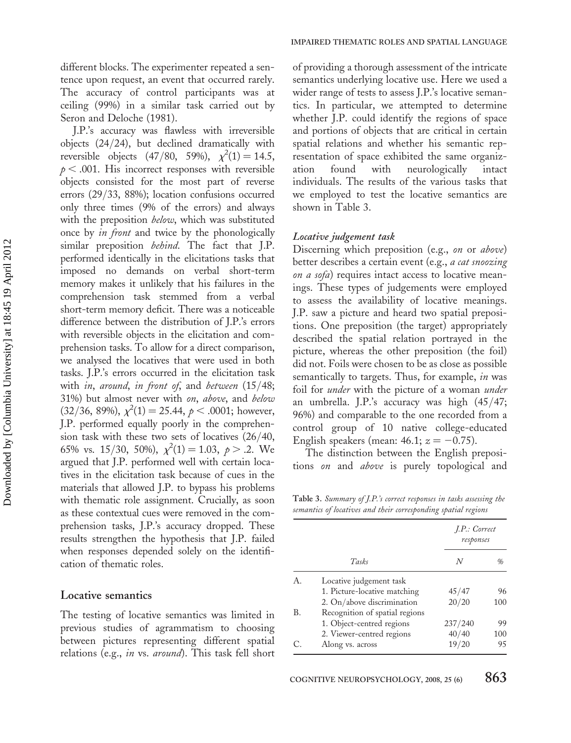different blocks. The experimenter repeated a sentence upon request, an event that occurred rarely. The accuracy of control participants was at ceiling (99%) in a similar task carried out by Seron and Deloche (1981).

J.P.'s accuracy was flawless with irreversible objects (24/24), but declined dramatically with reversible objects (47/80, 59%),  $\chi^2(1) = 14.5$ ,  $p < .001$ . His incorrect responses with reversible objects consisted for the most part of reverse errors (29/33, 88%); location confusions occurred only three times (9% of the errors) and always with the preposition *below*, which was substituted once by *in front* and twice by the phonologically similar preposition behind. The fact that J.P. performed identically in the elicitations tasks that imposed no demands on verbal short-term memory makes it unlikely that his failures in the comprehension task stemmed from a verbal short-term memory deficit. There was a noticeable difference between the distribution of J.P.'s errors with reversible objects in the elicitation and comprehension tasks. To allow for a direct comparison, we analysed the locatives that were used in both tasks. J.P.'s errors occurred in the elicitation task with in, around, in front of, and between  $(15/48;$ 31%) but almost never with on, above, and below  $(32/36, 89\%), \chi^2(1) = 25.44, p < .0001;$  however, J.P. performed equally poorly in the comprehension task with these two sets of locatives (26/40, 65% vs. 15/30, 50%),  $\chi^2(1) = 1.03$ ,  $\rho > .2$ . We argued that J.P. performed well with certain locatives in the elicitation task because of cues in the materials that allowed J.P. to bypass his problems with thematic role assignment. Crucially, as soon as these contextual cues were removed in the comprehension tasks, J.P.'s accuracy dropped. These results strengthen the hypothesis that J.P. failed when responses depended solely on the identification of thematic roles.

## Locative semantics

The testing of locative semantics was limited in previous studies of agrammatism to choosing between pictures representing different spatial relations (e.g., in vs. around). This task fell short of providing a thorough assessment of the intricate semantics underlying locative use. Here we used a wider range of tests to assess J.P.'s locative semantics. In particular, we attempted to determine whether J.P. could identify the regions of space and portions of objects that are critical in certain spatial relations and whether his semantic representation of space exhibited the same organization found with neurologically intact individuals. The results of the various tasks that we employed to test the locative semantics are shown in Table 3.

#### Locative judgement task

Discerning which preposition (e.g., on or above) better describes a certain event (e.g., a cat snoozing on a sofa) requires intact access to locative meanings. These types of judgements were employed to assess the availability of locative meanings. J.P. saw a picture and heard two spatial prepositions. One preposition (the target) appropriately described the spatial relation portrayed in the picture, whereas the other preposition (the foil) did not. Foils were chosen to be as close as possible semantically to targets. Thus, for example, *in* was foil for *under* with the picture of a woman *under* an umbrella. J.P.'s accuracy was high (45/47; 96%) and comparable to the one recorded from a control group of 10 native college-educated English speakers (mean: 46.1;  $z = -0.75$ ).

The distinction between the English prepositions on and above is purely topological and

Table 3. Summary of J.P.'s correct responses in tasks assessing the semantics of locatives and their corresponding spatial regions

|           |                                | J.P.: Correct<br>responses |     |  |
|-----------|--------------------------------|----------------------------|-----|--|
|           | Tasks                          | N                          | %   |  |
| A         | Locative judgement task        |                            |     |  |
|           | 1. Picture-locative matching   | 45/47                      | 96  |  |
|           | 2. On/above discrimination     | 20/20                      | 100 |  |
| <b>B.</b> | Recognition of spatial regions |                            |     |  |
|           | 1. Object-centred regions      | 237/240                    | 99  |  |
|           | 2. Viewer-centred regions      | 40/40                      | 100 |  |
| C.        | Along vs. across               | 19/20                      | 95  |  |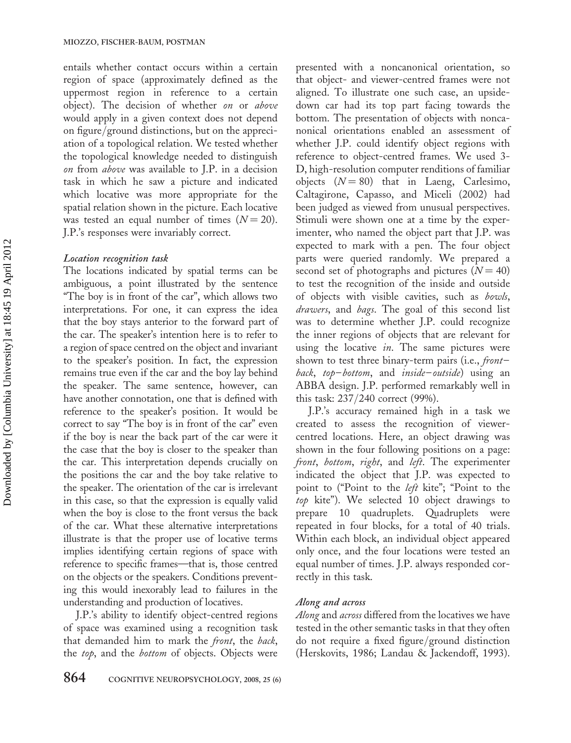entails whether contact occurs within a certain region of space (approximately defined as the uppermost region in reference to a certain object). The decision of whether on or above would apply in a given context does not depend on figure/ground distinctions, but on the appreciation of a topological relation. We tested whether the topological knowledge needed to distinguish on from above was available to J.P. in a decision task in which he saw a picture and indicated which locative was more appropriate for the spatial relation shown in the picture. Each locative was tested an equal number of times  $(N = 20)$ . J.P.'s responses were invariably correct.

### Location recognition task

The locations indicated by spatial terms can be ambiguous, a point illustrated by the sentence "The boy is in front of the car", which allows two interpretations. For one, it can express the idea that the boy stays anterior to the forward part of the car. The speaker's intention here is to refer to a region of space centred on the object and invariant to the speaker's position. In fact, the expression remains true even if the car and the boy lay behind the speaker. The same sentence, however, can have another connotation, one that is defined with reference to the speaker's position. It would be correct to say "The boy is in front of the car" even if the boy is near the back part of the car were it the case that the boy is closer to the speaker than the car. This interpretation depends crucially on the positions the car and the boy take relative to the speaker. The orientation of the car is irrelevant in this case, so that the expression is equally valid when the boy is close to the front versus the back of the car. What these alternative interpretations illustrate is that the proper use of locative terms implies identifying certain regions of space with reference to specific frames—that is, those centred on the objects or the speakers. Conditions preventing this would inexorably lead to failures in the understanding and production of locatives.

J.P.'s ability to identify object-centred regions of space was examined using a recognition task that demanded him to mark the *front*, the back, the top, and the bottom of objects. Objects were

presented with a noncanonical orientation, so that object- and viewer-centred frames were not aligned. To illustrate one such case, an upsidedown car had its top part facing towards the bottom. The presentation of objects with noncanonical orientations enabled an assessment of whether J.P. could identify object regions with reference to object-centred frames. We used 3- D, high-resolution computer renditions of familiar objects  $(N = 80)$  that in Laeng, Carlesimo, Caltagirone, Capasso, and Miceli (2002) had been judged as viewed from unusual perspectives. Stimuli were shown one at a time by the experimenter, who named the object part that J.P. was expected to mark with a pen. The four object parts were queried randomly. We prepared a second set of photographs and pictures  $(N = 40)$ to test the recognition of the inside and outside of objects with visible cavities, such as bowls, drawers, and bags. The goal of this second list was to determine whether J.P. could recognize the inner regions of objects that are relevant for using the locative *in*. The same pictures were shown to test three binary-term pairs (i.e., *front*back, top–bottom, and inside–outside) using an ABBA design. J.P. performed remarkably well in this task: 237/240 correct (99%).

J.P.'s accuracy remained high in a task we created to assess the recognition of viewercentred locations. Here, an object drawing was shown in the four following positions on a page: front, bottom, right, and left. The experimenter indicated the object that J.P. was expected to point to ("Point to the *left* kite"; "Point to the top kite"). We selected 10 object drawings to prepare 10 quadruplets. Quadruplets were repeated in four blocks, for a total of 40 trials. Within each block, an individual object appeared only once, and the four locations were tested an equal number of times. J.P. always responded correctly in this task.

#### Along and across

Along and across differed from the locatives we have tested in the other semantic tasks in that they often do not require a fixed figure/ground distinction (Herskovits, 1986; Landau & Jackendoff, 1993).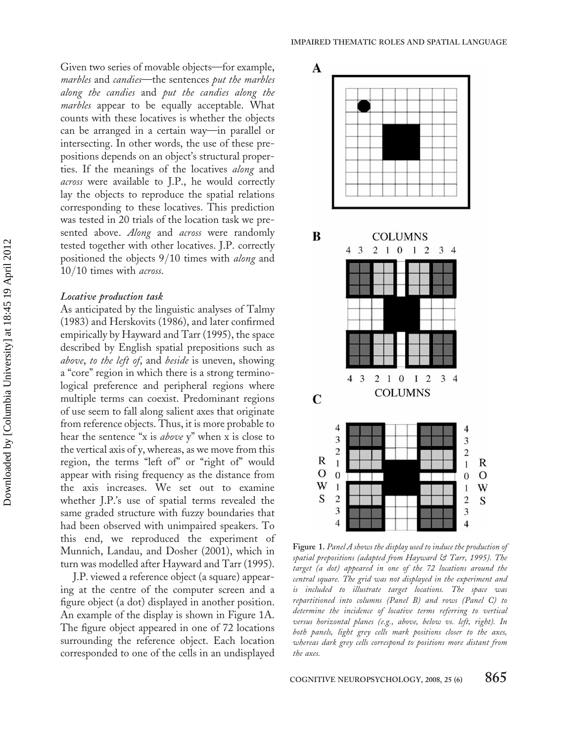Given two series of movable objects—for example, marbles and candies—the sentences put the marbles along the candies and put the candies along the marbles appear to be equally acceptable. What counts with these locatives is whether the objects can be arranged in a certain way—in parallel or intersecting. In other words, the use of these prepositions depends on an object's structural properties. If the meanings of the locatives along and across were available to J.P., he would correctly lay the objects to reproduce the spatial relations corresponding to these locatives. This prediction was tested in 20 trials of the location task we presented above. Along and across were randomly tested together with other locatives. J.P. correctly positioned the objects 9/10 times with along and 10/10 times with across.

### Locative production task

As anticipated by the linguistic analyses of Talmy (1983) and Herskovits (1986), and later confirmed empirically by Hayward and Tarr (1995), the space described by English spatial prepositions such as above, to the left of, and beside is uneven, showing a "core" region in which there is a strong terminological preference and peripheral regions where multiple terms can coexist. Predominant regions of use seem to fall along salient axes that originate from reference objects. Thus, it is more probable to hear the sentence "x is *above* y" when x is close to the vertical axis of y, whereas, as we move from this region, the terms "left of" or "right of" would appear with rising frequency as the distance from the axis increases. We set out to examine whether J.P.'s use of spatial terms revealed the same graded structure with fuzzy boundaries that had been observed with unimpaired speakers. To this end, we reproduced the experiment of Munnich, Landau, and Dosher (2001), which in turn was modelled after Hayward and Tarr (1995).

J.P. viewed a reference object (a square) appearing at the centre of the computer screen and a figure object (a dot) displayed in another position. An example of the display is shown in Figure 1A. The figure object appeared in one of 72 locations surrounding the reference object. Each location corresponded to one of the cells in an undisplayed



Figure 1. Panel A shows the display used to induce the production of spatial prepositions (adapted from Hayward & Tarr, 1995). The target (a dot) appeared in one of the 72 locations around the central square. The grid was not displayed in the experiment and is included to illustrate target locations. The space was repartitioned into columns (Panel B) and rows (Panel C) to determine the incidence of locative terms referring to vertical versus horizontal planes (e.g., above, below vs. left, right). In both panels, light grey cells mark positions closer to the axes, whereas dark grey cells correspond to positions more distant from the axes.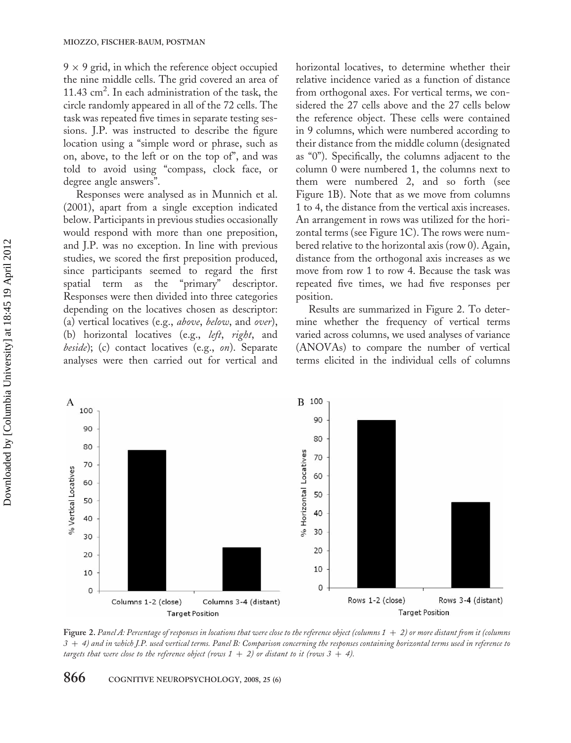$9 \times 9$  grid, in which the reference object occupied the nine middle cells. The grid covered an area of 11.43 cm<sup>2</sup>. In each administration of the task, the circle randomly appeared in all of the 72 cells. The task was repeated five times in separate testing sessions. J.P. was instructed to describe the figure location using a "simple word or phrase, such as on, above, to the left or on the top of", and was told to avoid using "compass, clock face, or degree angle answers".

Responses were analysed as in Munnich et al. (2001), apart from a single exception indicated below. Participants in previous studies occasionally would respond with more than one preposition, and J.P. was no exception. In line with previous studies, we scored the first preposition produced, since participants seemed to regard the first spatial term as the "primary" descriptor. Responses were then divided into three categories depending on the locatives chosen as descriptor: (a) vertical locatives (e.g., above, below, and over), (b) horizontal locatives (e.g., *left*, *right*, and beside); (c) contact locatives (e.g., on). Separate analyses were then carried out for vertical and

horizontal locatives, to determine whether their relative incidence varied as a function of distance from orthogonal axes. For vertical terms, we considered the 27 cells above and the 27 cells below the reference object. These cells were contained in 9 columns, which were numbered according to their distance from the middle column (designated as "0"). Specifically, the columns adjacent to the column 0 were numbered 1, the columns next to them were numbered 2, and so forth (see Figure 1B). Note that as we move from columns 1 to 4, the distance from the vertical axis increases. An arrangement in rows was utilized for the horizontal terms (see Figure 1C). The rows were numbered relative to the horizontal axis (row 0). Again, distance from the orthogonal axis increases as we move from row 1 to row 4. Because the task was repeated five times, we had five responses per position.

Results are summarized in Figure 2. To determine whether the frequency of vertical terms varied across columns, we used analyses of variance (ANOVAs) to compare the number of vertical terms elicited in the individual cells of columns



Figure 2. Panel A: Percentage of responses in locations that were close to the reference object (columns  $1 + 2$ ) or more distant from it (columns  $3 + 4$ ) and in which J.P. used vertical terms. Panel B: Comparison concerning the responses containing horizontal terms used in reference to targets that were close to the reference object (rows  $1 + 2$ ) or distant to it (rows  $3 + 4$ ).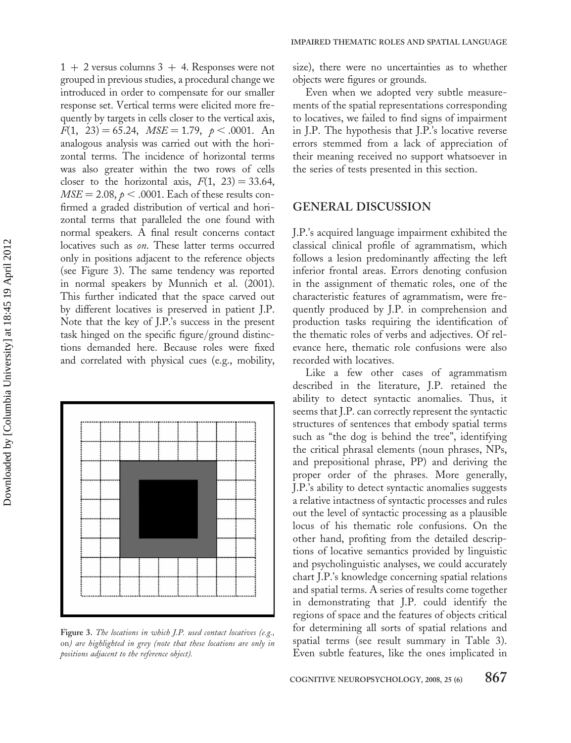$1 + 2$  versus columns  $3 + 4$ . Responses were not grouped in previous studies, a procedural change we introduced in order to compensate for our smaller response set. Vertical terms were elicited more frequently by targets in cells closer to the vertical axis,  $F(1, 23) = 65.24, \text{ MSE} = 1.79, \text{ p} < .0001. \text{ An}$ analogous analysis was carried out with the horizontal terms. The incidence of horizontal terms was also greater within the two rows of cells closer to the horizontal axis,  $F(1, 23) = 33.64$ ,  $MSE = 2.08, \rho < .0001$ . Each of these results confirmed a graded distribution of vertical and horizontal terms that paralleled the one found with normal speakers. A final result concerns contact locatives such as *on*. These latter terms occurred only in positions adjacent to the reference objects (see Figure 3). The same tendency was reported in normal speakers by Munnich et al. (2001). This further indicated that the space carved out by different locatives is preserved in patient J.P. Note that the key of J.P.'s success in the present task hinged on the specific figure/ground distinctions demanded here. Because roles were fixed and correlated with physical cues (e.g., mobility,



Figure 3. The locations in which J.P. used contact locatives (e.g., on) are highlighted in grey (note that these locations are only in positions adjacent to the reference object).

size), there were no uncertainties as to whether objects were figures or grounds.

Even when we adopted very subtle measurements of the spatial representations corresponding to locatives, we failed to find signs of impairment in J.P. The hypothesis that J.P.'s locative reverse errors stemmed from a lack of appreciation of their meaning received no support whatsoever in the series of tests presented in this section.

## GENERAL DISCUSSION

J.P.'s acquired language impairment exhibited the classical clinical profile of agrammatism, which follows a lesion predominantly affecting the left inferior frontal areas. Errors denoting confusion in the assignment of thematic roles, one of the characteristic features of agrammatism, were frequently produced by J.P. in comprehension and production tasks requiring the identification of the thematic roles of verbs and adjectives. Of relevance here, thematic role confusions were also recorded with locatives.

Like a few other cases of agrammatism described in the literature, J.P. retained the ability to detect syntactic anomalies. Thus, it seems that J.P. can correctly represent the syntactic structures of sentences that embody spatial terms such as "the dog is behind the tree", identifying the critical phrasal elements (noun phrases, NPs, and prepositional phrase, PP) and deriving the proper order of the phrases. More generally, J.P.'s ability to detect syntactic anomalies suggests a relative intactness of syntactic processes and rules out the level of syntactic processing as a plausible locus of his thematic role confusions. On the other hand, profiting from the detailed descriptions of locative semantics provided by linguistic and psycholinguistic analyses, we could accurately chart J.P.'s knowledge concerning spatial relations and spatial terms. A series of results come together in demonstrating that J.P. could identify the regions of space and the features of objects critical for determining all sorts of spatial relations and spatial terms (see result summary in Table 3). Even subtle features, like the ones implicated in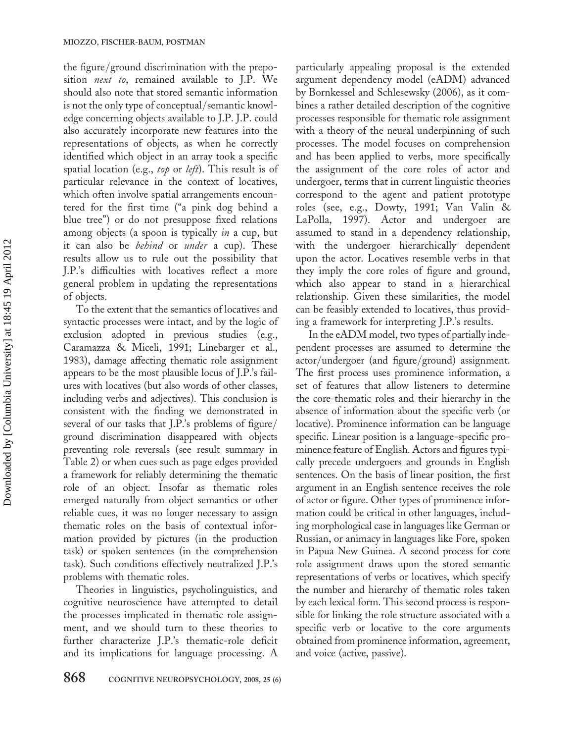the figure/ground discrimination with the preposition *next to*, remained available to J.P. We should also note that stored semantic information is not the only type of conceptual/semantic knowledge concerning objects available to J.P. J.P. could also accurately incorporate new features into the representations of objects, as when he correctly identified which object in an array took a specific spatial location (e.g., top or left). This result is of particular relevance in the context of locatives, which often involve spatial arrangements encountered for the first time ("a pink dog behind a blue tree") or do not presuppose fixed relations among objects (a spoon is typically *in* a cup, but it can also be *behind* or *under* a cup). These results allow us to rule out the possibility that J.P.'s difficulties with locatives reflect a more general problem in updating the representations of objects.

To the extent that the semantics of locatives and syntactic processes were intact, and by the logic of exclusion adopted in previous studies (e.g., Caramazza & Miceli, 1991; Linebarger et al., 1983), damage affecting thematic role assignment appears to be the most plausible locus of J.P.'s failures with locatives (but also words of other classes, including verbs and adjectives). This conclusion is consistent with the finding we demonstrated in several of our tasks that J.P.'s problems of figure/ ground discrimination disappeared with objects preventing role reversals (see result summary in Table 2) or when cues such as page edges provided a framework for reliably determining the thematic role of an object. Insofar as thematic roles emerged naturally from object semantics or other reliable cues, it was no longer necessary to assign thematic roles on the basis of contextual information provided by pictures (in the production task) or spoken sentences (in the comprehension task). Such conditions effectively neutralized J.P.'s problems with thematic roles.

Theories in linguistics, psycholinguistics, and cognitive neuroscience have attempted to detail the processes implicated in thematic role assignment, and we should turn to these theories to further characterize J.P.'s thematic-role deficit and its implications for language processing. A

particularly appealing proposal is the extended argument dependency model (eADM) advanced by Bornkessel and Schlesewsky (2006), as it combines a rather detailed description of the cognitive processes responsible for thematic role assignment with a theory of the neural underpinning of such processes. The model focuses on comprehension and has been applied to verbs, more specifically the assignment of the core roles of actor and undergoer, terms that in current linguistic theories correspond to the agent and patient prototype roles (see, e.g., Dowty, 1991; Van Valin & LaPolla, 1997). Actor and undergoer are assumed to stand in a dependency relationship, with the undergoer hierarchically dependent upon the actor. Locatives resemble verbs in that they imply the core roles of figure and ground, which also appear to stand in a hierarchical relationship. Given these similarities, the model can be feasibly extended to locatives, thus providing a framework for interpreting J.P.'s results.

In the eADM model, two types of partially independent processes are assumed to determine the actor/undergoer (and figure/ground) assignment. The first process uses prominence information, a set of features that allow listeners to determine the core thematic roles and their hierarchy in the absence of information about the specific verb (or locative). Prominence information can be language specific. Linear position is a language-specific prominence feature of English. Actors and figures typically precede undergoers and grounds in English sentences. On the basis of linear position, the first argument in an English sentence receives the role of actor or figure. Other types of prominence information could be critical in other languages, including morphological case in languages like German or Russian, or animacy in languages like Fore, spoken in Papua New Guinea. A second process for core role assignment draws upon the stored semantic representations of verbs or locatives, which specify the number and hierarchy of thematic roles taken by each lexical form. This second process is responsible for linking the role structure associated with a specific verb or locative to the core arguments obtained from prominence information, agreement, and voice (active, passive).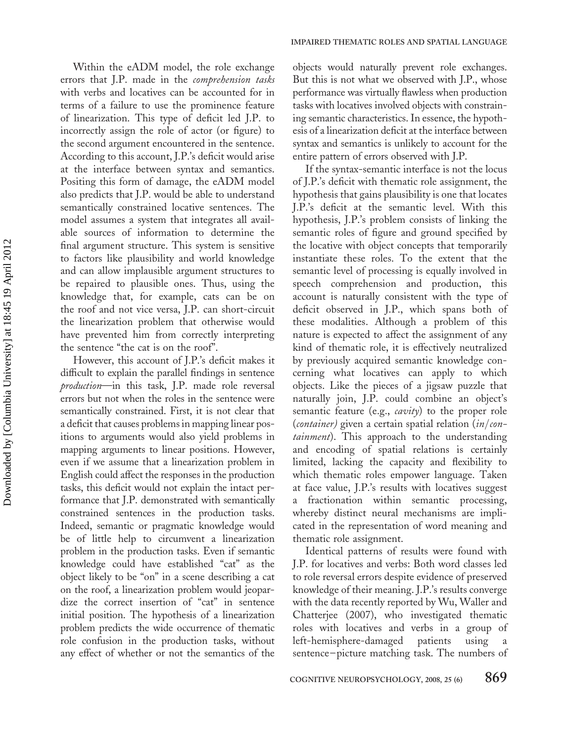Within the eADM model, the role exchange errors that J.P. made in the comprehension tasks with verbs and locatives can be accounted for in terms of a failure to use the prominence feature of linearization. This type of deficit led J.P. to incorrectly assign the role of actor (or figure) to the second argument encountered in the sentence. According to this account, J.P.'s deficit would arise at the interface between syntax and semantics. Positing this form of damage, the eADM model also predicts that J.P. would be able to understand semantically constrained locative sentences. The model assumes a system that integrates all available sources of information to determine the final argument structure. This system is sensitive to factors like plausibility and world knowledge and can allow implausible argument structures to be repaired to plausible ones. Thus, using the knowledge that, for example, cats can be on the roof and not vice versa, J.P. can short-circuit the linearization problem that otherwise would have prevented him from correctly interpreting the sentence "the cat is on the roof".

However, this account of J.P.'s deficit makes it difficult to explain the parallel findings in sentence production—in this task, J.P. made role reversal errors but not when the roles in the sentence were semantically constrained. First, it is not clear that a deficit that causes problems in mapping linear positions to arguments would also yield problems in mapping arguments to linear positions. However, even if we assume that a linearization problem in English could affect the responses in the production tasks, this deficit would not explain the intact performance that J.P. demonstrated with semantically constrained sentences in the production tasks. Indeed, semantic or pragmatic knowledge would be of little help to circumvent a linearization problem in the production tasks. Even if semantic knowledge could have established "cat" as the object likely to be "on" in a scene describing a cat on the roof, a linearization problem would jeopardize the correct insertion of "cat" in sentence initial position. The hypothesis of a linearization problem predicts the wide occurrence of thematic role confusion in the production tasks, without any effect of whether or not the semantics of the

objects would naturally prevent role exchanges. But this is not what we observed with J.P., whose performance was virtually flawless when production tasks with locatives involved objects with constraining semantic characteristics. In essence, the hypothesis of a linearization deficit at the interface between syntax and semantics is unlikely to account for the entire pattern of errors observed with J.P.

If the syntax-semantic interface is not the locus of J.P.'s deficit with thematic role assignment, the hypothesis that gains plausibility is one that locates J.P.'s deficit at the semantic level. With this hypothesis, J.P.'s problem consists of linking the semantic roles of figure and ground specified by the locative with object concepts that temporarily instantiate these roles. To the extent that the semantic level of processing is equally involved in speech comprehension and production, this account is naturally consistent with the type of deficit observed in J.P., which spans both of these modalities. Although a problem of this nature is expected to affect the assignment of any kind of thematic role, it is effectively neutralized by previously acquired semantic knowledge concerning what locatives can apply to which objects. Like the pieces of a jigsaw puzzle that naturally join, J.P. could combine an object's semantic feature (e.g., *cavity*) to the proper role (*container*) given a certain spatial relation  $(in/con$ tainment). This approach to the understanding and encoding of spatial relations is certainly limited, lacking the capacity and flexibility to which thematic roles empower language. Taken at face value, J.P.'s results with locatives suggest a fractionation within semantic processing, whereby distinct neural mechanisms are implicated in the representation of word meaning and thematic role assignment.

Identical patterns of results were found with J.P. for locatives and verbs: Both word classes led to role reversal errors despite evidence of preserved knowledge of their meaning. J.P.'s results converge with the data recently reported by Wu, Waller and Chatterjee (2007), who investigated thematic roles with locatives and verbs in a group of left-hemisphere-damaged patients using sentence–picture matching task. The numbers of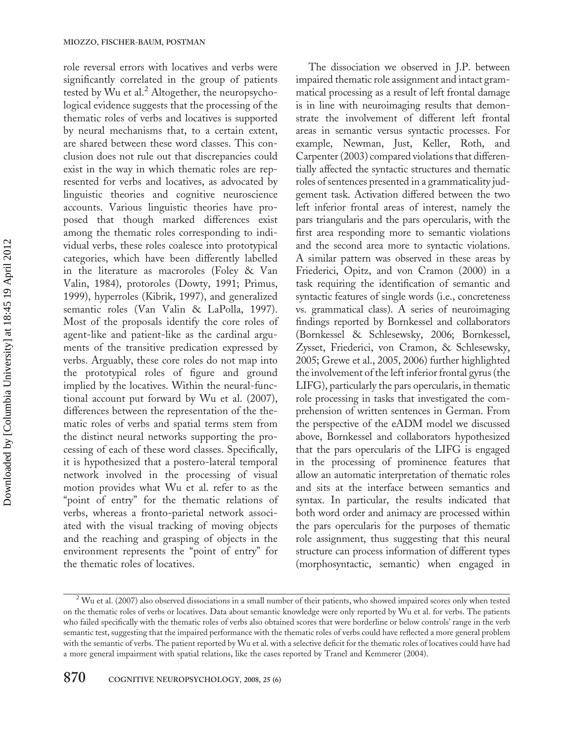role reversal errors with locatives and verbs were significantly correlated in the group of patients tested by Wu et al.<sup>2</sup> Altogether, the neuropsychological evidence suggests that the processing of the thematic roles of verbs and locatives is supported by neural mechanisms that, to a certain extent, are shared between these word classes. This conclusion does not rule out that discrepancies could exist in the way in which thematic roles are represented for verbs and locatives, as advocated by linguistic theories and cognitive neuroscience accounts. Various linguistic theories have proposed that though marked differences exist among the thematic roles corresponding to individual verbs, these roles coalesce into prototypical categories, which have been differently labelled in the literature as macroroles (Foley & Van Valin, 1984), protoroles (Dowty, 1991; Primus, 1999), hyperroles (Kibrik, 1997), and generalized semantic roles (Van Valin & LaPolla, 1997). Most of the proposals identify the core roles of agent-like and patient-like as the cardinal arguments of the transitive predication expressed by verbs. Arguably, these core roles do not map into the prototypical roles of figure and ground implied by the locatives. Within the neural-functional account put forward by Wu et al. (2007), differences between the representation of the thematic roles of verbs and spatial terms stem from the distinct neural networks supporting the processing of each of these word classes. Specifically, it is hypothesized that a postero-lateral temporal network involved in the processing of visual motion provides what Wu et al. refer to as the "point of entry" for the thematic relations of verbs, whereas a fronto-parietal network associated with the visual tracking of moving objects and the reaching and grasping of objects in the environment represents the "point of entry" for the thematic roles of locatives.

The dissociation we observed in J.P. between impaired thematic role assignment and intact grammatical processing as a result of left frontal damage is in line with neuroimaging results that demonstrate the involvement of different left frontal areas in semantic versus syntactic processes. For example, Newman, Just, Keller, Roth, and Carpenter (2003) compared violations that differentially affected the syntactic structures and thematic roles of sentences presented in a grammaticality judgement task. Activation differed between the two left inferior frontal areas of interest, namely the pars triangularis and the pars opercularis, with the first area responding more to semantic violations and the second area more to syntactic violations. A similar pattern was observed in these areas by Friederici, Opitz, and von Cramon (2000) in a task requiring the identification of semantic and syntactic features of single words (i.e., concreteness vs. grammatical class). A series of neuroimaging findings reported by Bornkessel and collaborators (Bornkessel & Schlesewsky, 2006; Bornkessel, Zysset, Friederici, von Cramon, & Schlesewsky, 2005; Grewe et al., 2005, 2006) further highlighted the involvement of the left inferior frontal gyrus (the LIFG), particularly the pars opercularis, in thematic role processing in tasks that investigated the comprehension of written sentences in German. From the perspective of the eADM model we discussed above, Bornkessel and collaborators hypothesized that the pars opercularis of the LIFG is engaged in the processing of prominence features that allow an automatic interpretation of thematic roles and sits at the interface between semantics and syntax. In particular, the results indicated that both word order and animacy are processed within the pars opercularis for the purposes of thematic role assignment, thus suggesting that this neural structure can process information of different types (morphosyntactic, semantic) when engaged in

<sup>&</sup>lt;sup>2</sup> Wu et al. (2007) also observed dissociations in a small number of their patients, who showed impaired scores only when tested on the thematic roles of verbs or locatives. Data about semantic knowledge were only reported by Wu et al. for verbs. The patients who failed specifically with the thematic roles of verbs also obtained scores that were borderline or below controls' range in the verb semantic test, suggesting that the impaired performance with the thematic roles of verbs could have reflected a more general problem with the semantic of verbs. The patient reported by Wu et al. with a selective deficit for the thematic roles of locatives could have had a more general impairment with spatial relations, like the cases reported by Tranel and Kemmerer (2004).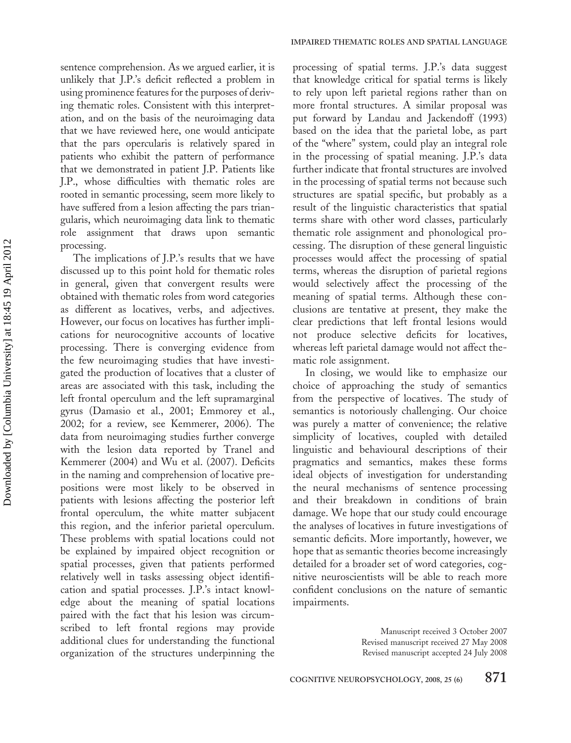sentence comprehension. As we argued earlier, it is unlikely that J.P.'s deficit reflected a problem in using prominence features for the purposes of deriving thematic roles. Consistent with this interpretation, and on the basis of the neuroimaging data that we have reviewed here, one would anticipate that the pars opercularis is relatively spared in patients who exhibit the pattern of performance that we demonstrated in patient J.P. Patients like J.P., whose difficulties with thematic roles are rooted in semantic processing, seem more likely to have suffered from a lesion affecting the pars triangularis, which neuroimaging data link to thematic role assignment that draws upon semantic processing.

The implications of J.P.'s results that we have discussed up to this point hold for thematic roles in general, given that convergent results were obtained with thematic roles from word categories as different as locatives, verbs, and adjectives. However, our focus on locatives has further implications for neurocognitive accounts of locative processing. There is converging evidence from the few neuroimaging studies that have investigated the production of locatives that a cluster of areas are associated with this task, including the left frontal operculum and the left supramarginal gyrus (Damasio et al., 2001; Emmorey et al., 2002; for a review, see Kemmerer, 2006). The data from neuroimaging studies further converge with the lesion data reported by Tranel and Kemmerer (2004) and Wu et al. (2007). Deficits in the naming and comprehension of locative prepositions were most likely to be observed in patients with lesions affecting the posterior left frontal operculum, the white matter subjacent this region, and the inferior parietal operculum. These problems with spatial locations could not be explained by impaired object recognition or spatial processes, given that patients performed relatively well in tasks assessing object identification and spatial processes. J.P.'s intact knowledge about the meaning of spatial locations paired with the fact that his lesion was circumscribed to left frontal regions may provide additional clues for understanding the functional organization of the structures underpinning the

processing of spatial terms. J.P.'s data suggest that knowledge critical for spatial terms is likely to rely upon left parietal regions rather than on more frontal structures. A similar proposal was put forward by Landau and Jackendoff (1993) based on the idea that the parietal lobe, as part of the "where" system, could play an integral role in the processing of spatial meaning. J.P.'s data further indicate that frontal structures are involved in the processing of spatial terms not because such structures are spatial specific, but probably as a result of the linguistic characteristics that spatial terms share with other word classes, particularly thematic role assignment and phonological processing. The disruption of these general linguistic processes would affect the processing of spatial terms, whereas the disruption of parietal regions would selectively affect the processing of the meaning of spatial terms. Although these conclusions are tentative at present, they make the clear predictions that left frontal lesions would not produce selective deficits for locatives, whereas left parietal damage would not affect thematic role assignment.

In closing, we would like to emphasize our choice of approaching the study of semantics from the perspective of locatives. The study of semantics is notoriously challenging. Our choice was purely a matter of convenience; the relative simplicity of locatives, coupled with detailed linguistic and behavioural descriptions of their pragmatics and semantics, makes these forms ideal objects of investigation for understanding the neural mechanisms of sentence processing and their breakdown in conditions of brain damage. We hope that our study could encourage the analyses of locatives in future investigations of semantic deficits. More importantly, however, we hope that as semantic theories become increasingly detailed for a broader set of word categories, cognitive neuroscientists will be able to reach more confident conclusions on the nature of semantic impairments.

> Manuscript received 3 October 2007 Revised manuscript received 27 May 2008 Revised manuscript accepted 24 July 2008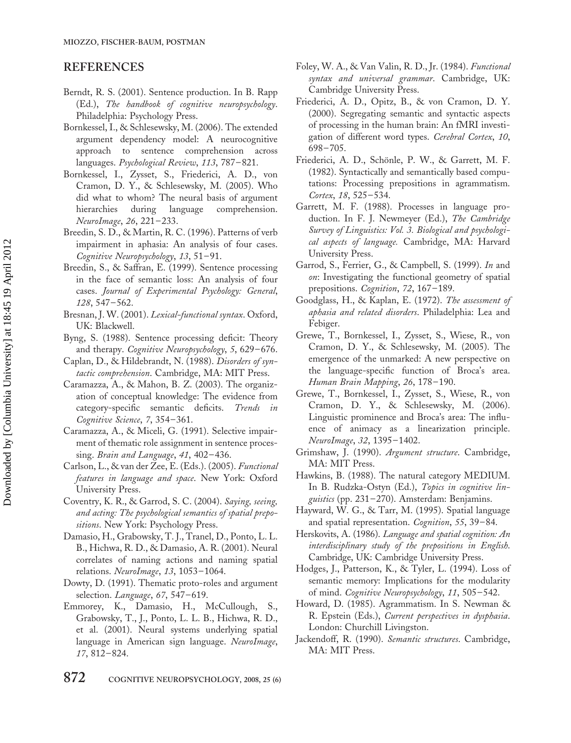## REFERENCES

- Berndt, R. S. (2001). Sentence production. In B. Rapp (Ed.), The handbook of cognitive neuropsychology. Philadelphia: Psychology Press.
- Bornkessel, I., & Schlesewsky, M. (2006). The extended argument dependency model: A neurocognitive approach to sentence comprehension across languages. Psychological Review, 113, 787–821.
- Bornkessel, I., Zysset, S., Friederici, A. D., von Cramon, D. Y., & Schlesewsky, M. (2005). Who did what to whom? The neural basis of argument hierarchies during language comprehension. NeuroImage, 26, 221–233.
- Breedin, S. D., & Martin, R. C. (1996). Patterns of verb impairment in aphasia: An analysis of four cases. Cognitive Neuropsychology, 13, 51–91.
- Breedin, S., & Saffran, E. (1999). Sentence processing in the face of semantic loss: An analysis of four cases. Journal of Experimental Psychology: General, 128, 547–562.
- Bresnan, J. W. (2001). Lexical-functional syntax. Oxford, UK: Blackwell.
- Byng, S. (1988). Sentence processing deficit: Theory and therapy. Cognitive Neuropsychology, 5, 629–676.
- Caplan, D., & Hildebrandt, N. (1988). Disorders of syntactic comprehension. Cambridge, MA: MIT Press.
- Caramazza, A., & Mahon, B. Z. (2003). The organization of conceptual knowledge: The evidence from category-specific semantic deficits. Trends in Cognitive Science, 7, 354–361.
- Caramazza, A., & Miceli, G. (1991). Selective impairment of thematic role assignment in sentence processing. Brain and Language, 41, 402–436.
- Carlson, L., & van der Zee, E. (Eds.). (2005). Functional features in language and space. New York: Oxford University Press.
- Coventry, K. R., & Garrod, S. C. (2004). Saying, seeing, and acting: The psychological semantics of spatial prepositions. New York: Psychology Press.
- Damasio, H., Grabowsky, T. J., Tranel, D., Ponto, L. L. B., Hichwa, R. D., & Damasio, A. R. (2001). Neural correlates of naming actions and naming spatial relations. NeuroImage, 13, 1053–1064.
- Dowty, D. (1991). Thematic proto-roles and argument selection. Language, 67, 547–619.
- Emmorey, K., Damasio, H., McCullough, S., Grabowsky, T., J., Ponto, L. L. B., Hichwa, R. D., et al. (2001). Neural systems underlying spatial language in American sign language. NeuroImage, 17, 812–824.
- Foley, W. A., & Van Valin, R. D., Jr. (1984). Functional syntax and universal grammar. Cambridge, UK: Cambridge University Press.
- Friederici, A. D., Opitz, B., & von Cramon, D. Y. (2000). Segregating semantic and syntactic aspects of processing in the human brain: An fMRI investigation of different word types. Cerebral Cortex, 10, 698–705.
- Friederici, A. D., Schönle, P. W., & Garrett, M. F. (1982). Syntactically and semantically based computations: Processing prepositions in agrammatism. Cortex, 18, 525–534.
- Garrett, M. F. (1988). Processes in language production. In F. J. Newmeyer (Ed.), The Cambridge Survey of Linguistics: Vol. 3. Biological and psychological aspects of language. Cambridge, MA: Harvard University Press.
- Garrod, S., Ferrier, G., & Campbell, S. (1999). In and on: Investigating the functional geometry of spatial prepositions. Cognition, 72, 167–189.
- Goodglass, H., & Kaplan, E. (1972). The assessment of aphasia and related disorders. Philadelphia: Lea and Febiger.
- Grewe, T., Bornkessel, I., Zysset, S., Wiese, R., von Cramon, D. Y., & Schlesewsky, M. (2005). The emergence of the unmarked: A new perspective on the language-specific function of Broca's area. Human Brain Mapping, 26, 178–190.
- Grewe, T., Bornkessel, I., Zysset, S., Wiese, R., von Cramon, D. Y., & Schlesewsky, M. (2006). Linguistic prominence and Broca's area: The influence of animacy as a linearization principle. NeuroImage, 32, 1395–1402.
- Grimshaw, J. (1990). Argument structure. Cambridge, MA: MIT Press.
- Hawkins, B. (1988). The natural category MEDIUM. In B. Rudzka-Ostyn (Ed.), Topics in cognitive linguistics (pp. 231–270). Amsterdam: Benjamins.
- Hayward, W. G., & Tarr, M. (1995). Spatial language and spatial representation. Cognition, 55, 39–84.
- Herskovits, A. (1986). Language and spatial cognition: An interdisciplinary study of the prepositions in English. Cambridge, UK: Cambridge University Press.
- Hodges, J., Patterson, K., & Tyler, L. (1994). Loss of semantic memory: Implications for the modularity of mind. Cognitive Neuropsychology, 11, 505–542.
- Howard, D. (1985). Agrammatism. In S. Newman & R. Epstein (Eds.), Current perspectives in dysphasia. London: Churchill Livingston.
- Jackendoff, R. (1990). Semantic structures. Cambridge, MA: MIT Press.